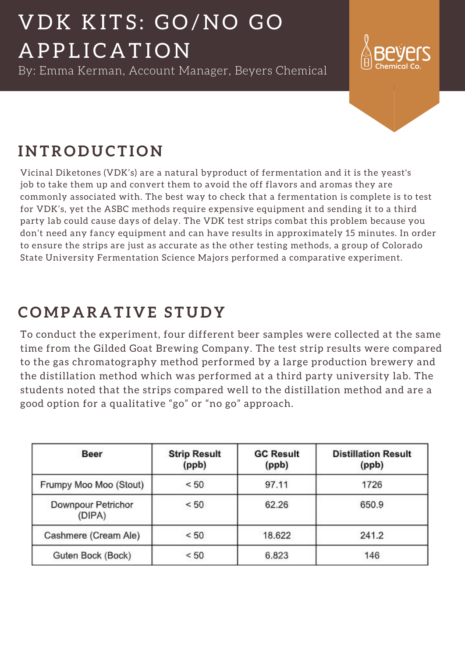### **C OMP A R A T I V E S T U D Y**

To conduct the experiment, four different beer samples were collected at the same time from the Gilded Goat Brewing Company. The test strip results were compared to the gas chromatography method performed by a large production brewery and the distillation method which was performed at a third party university lab. The students noted that the strips compared well to the distillation method and are a good option for a qualitative "go" or "no go" approach.

| <b>Beer</b>                  | <b>Strip Result</b><br>(ppb) | <b>GC Result</b><br>(ppb) | <b>Distillation Result</b><br>(ppb) |
|------------------------------|------------------------------|---------------------------|-------------------------------------|
| Frumpy Moo Moo (Stout)       | < 50                         | 97.11                     | 1726                                |
| Downpour Petrichor<br>(DIPA) | < 50                         | 62.26                     | 650.9                               |
| Cashmere (Cream Ale)         | < 50                         | 18.622                    | 241.2                               |
| Guten Bock (Bock)            | < 50                         | 6.823                     | 146                                 |

### **I N TR O D U C T I O N**

# VDK KITS: GO/NO GO A P P L I C A T I O N

Vicinal Diketones (VDK's) are a natural byproduct of fermentation and it is the yeast's job to take them up and convert them to avoid the off flavors and aromas they are commonly associated with. The best way to check that a fermentation is complete is to test for VDK's, yet the ASBC methods require expensive equipment and sending it to a third party lab could cause days of delay. The VDK test strips combat this problem because you don't need any fancy equipment and can have results in approximately 15 minutes. In order to ensure the strips are just as accurate as the other testing methods, a group of Colorado State University Fermentation Science Majors performed a comparative experiment.

By: Emma Kerman, Account Manager, Beyers Chemical